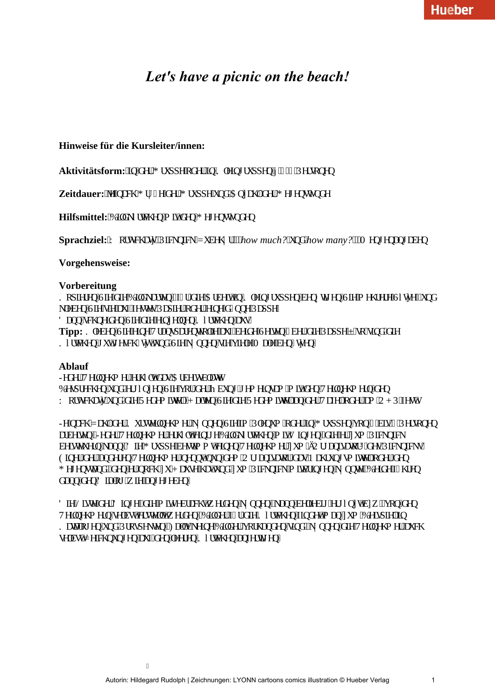# *Let's have a picnic on the beach!*

## **Hinweise für die Kursleiter/innen:**

Aktivitätsform: "ko"f gt"I twr g"gf gt"ko"Mpkpi twr gp"«"6/8"Rgtugpgp

**Zeitdauer:**"Ig"pcej"I t<sup>3</sup> $\ddot{\mathbf{E}}$ g"f gt"I twr r g"wpf "Cp| cj n'f gt"I gi gpuw $\mathbf{\Phi}$ f g

**Hilfsmittel:** 'Dkf m\vei go'o k'f go'l gi gpuv\ot gp

I

Sprachziel: 'Y qtwej cy ''Rlemplem'\ wdgj 3<sup>4</sup> y'l'how much?''wpf "how many?''I'O gpi gpcpi cdgp

### **Vorgehensweise:**

#### **Vorbereitung**

. Mar ket ep "Uke"f ke "Dkrf met vep"<sup>\*</sup>th $\tilde{A}$ "f ke "Ctdekv'ko "Mrekoj twr r ep "dep<sup>3</sup>/4ki ep "Uke"o ej tete "U®t e+"wpf  $mgdgp''$ Ug''ukg''cwh'hguygu''Rcr kgt''qf gt''gkpg'f $\tilde{A}$ ppg''Rcr r g $0$ F cpp''uej pgkf gp''Ukg''f kg''gkp| grpgp''M@vej gp''cwu0 **Tipp:** Migdgp''Ukg''gkpg''Vtcpur ctgpvhqrkg''cwh'dgkf g''Ugkvgp'' $\tilde{A}$ dgt'f kg''Rcr r g''ó''uq''ukpf ''f kg M $\mathbf{W}$ e j gp'i w'i guej  $\tilde{A}$ y v'wpf "Ukg'n $\mathbf{\hat{p}}$ ppgp"ukg'xkgng'O cng'dgp $\tilde{A}$ y gp $0$ 

#### **Ablauf**

Lef et "Vekipej o et "et j ®w'f cu'Ctdekudn: w0 Deur teej ep 'wof ''etj @o| ep ''Uke ''xat 'f et ''Odwoj 'j eo ekouco 'o kv'f ep ''Vekipej o etp 'f ep Y gtwej cy "wpf "f kg"T gf go kwgn0J cngp"Ukg"f kg"T gf go kwgn"cp"f gt "Vchgn"gf gt "co "QJ R"hguy0

Lg'pcej '\ cj n'f gt 'Mwtuvgkpgj o gt 'n $\hat{\psi}$ pgp'Ukg'ko 'Rugpwo ''qf gt 'kp'I twr r gp''xqp''6 ''dku'8''Rgtuqpgp ctdgkogp0'Lgf gt "Vgkpgj o gt "gtj ®w'gkpki g "Dkrf m��vej gp "o kv'F kpi gp. "f kg"gt" wo "Rlemplem  $\alpha$ dgkngwgtp'mcpp0F kg'I twr r g'dguwlo o v'gkpgp'' $V$ gkrpgj o gt'| wo ' $\delta$ Oti cpkucyqt $\delta$ 'f gu'Rkempkemu $\delta$ Glogt "f gt "cpf gtgp "Vgkpgj o gt "pgppv'pwp"f go "Qti cpkucvqt "f cu"P cj twpi uo kwgn'qf gt "f gp I gi gpuxpf. "f gp"gt"pqej "| w'J cwug"j cv'wpf "| wo "Rlemplem'o kvdtkpi gp"n∛ppvg0Dgkf g'h $\tilde{A}$ i tgp f cpp'f gp'F kcmi 'y kg'cpi gi gdgp0

 $F$ kg"Nkuvg"'f gt "F kpi g. "f kg"o kvi gdtcej v'y gtf gp "n $\mathcal{U}$ ppgp. "nrpp"dgrkgdki "gti  $\mathcal{U}$ l v'd| y 0'xqp"f gp Vgkpgi o gtp'lugrduv'gtuvgrnv'y gtf gp0Dkrf gt'h $\tilde{A}$ t'f kg'M@vej gp'hkpf gv'o cp'| wo 'Dgkur kgrikp .Dww.pi gp'wpf 'Rtqur gmgp0'Hcmu'mgkpg'Dkrf gt'xqtj cpf gp'ukpf.'n<sup>2</sup>/ppgp'f kg'Vgkrpgj o gt'cwej ugnduv $\langle \rangle$ gkej pwpi gp"cwh"f gp"nggtgp"M $\mathbb{Q}$ wej gp"cphgt $\langle \mathbf{k} \rangle$ gp $\langle \mathbf{Q} \rangle$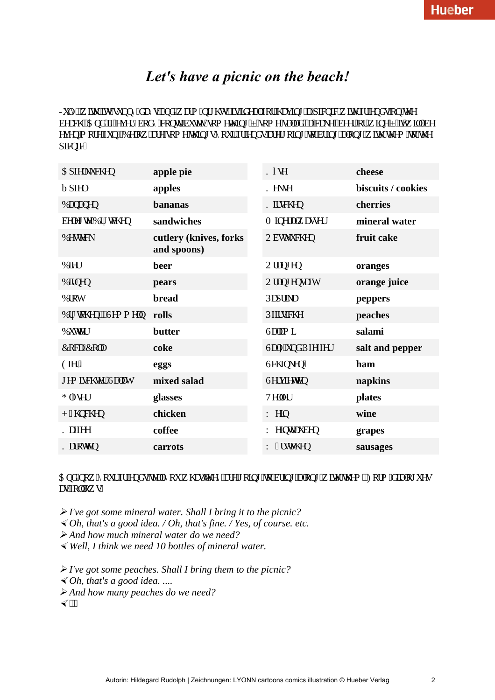# *Let's have a picnic on the beach!*

Lwn(.'y ky 'ku'lwypp{'fc{u'cpf'y cto 'pki j w.'ku'kfgcrihqt'j cxkpi 'c'r kepke'y ky 'htkgpfu'qp'yjg  $\frac{1}{2}$  decej  $0$ Cpf 'kh'gxgt {dqf { 'eqpytklwgu'uqo gy kpi 'ó'uqo g'ucnef . 'c'ecng. 'dggt'qt'v kpg'ó'kv'y kn'dg exep"o qtg"hyp#Demy "ctg"uqo g"y kpi u"{qvt"htkepf u"ctg"i qkpi "yq"dtkpi "cmpi "y kvj "y go "yq"y g  $r$  kepke $0$ 

| Cr hgmwej gp                                     | apple pie                             | <b>M</b> <sup>®</sup> ug | cheese             |
|--------------------------------------------------|---------------------------------------|--------------------------|--------------------|
| $f$ r hgn                                        | apples                                | Mgmg                     | biscuits / cookies |
| Depepgp                                          | bananas                               | Mkuej gp                 | cherries           |
| dgrgi vg''Dt <sup>3</sup> /aej gp                | sandwiches                            | O kpgtcny cuugt          | mineral water      |
| Dguygem                                          | cutlery (knives, forks<br>and spoons) | Qduwnwej gp              | fruit cake         |
| Dkgt                                             | beer                                  | Qtcpi gp                 | oranges            |
| Dkpgp                                            | pears                                 | Qtcpi gpuchy             | orange juice       |
| Dtqv                                             | bread                                 | Rcr tknc                 | peppers            |
| Dt <sup>3</sup> / <sub>4</sub> ej gp"l"Ugo o grp | rolls                                 | Rhkukej g                | peaches            |
| Dwygt                                            | butter                                | Ucro k                   | salami             |
| Eqec/Eqr                                         | coke                                  | Ucn "wpf "Rhghhgt        | salt and pepper    |
| Glgt"                                            | eggs                                  | Uej kpngp"               | ham                |
| i go kuej vgt "Ucrrv                             | mixed salad                           | Ugtxlgwgp                | napkins            |
| I n®ugt                                          | glasses                               | Vgngt                    | plates             |
| J Aj pej gp                                      | chicken                               | Y gkp                    | wine               |
| <b>Mchgg</b>                                     | coffee                                | Y gkpvtcwdgp             | grapes             |
| Mctqwgp                                          | carrots                               | Y Atuvej gp              | sausages           |

 $C$ pf "pqy" {qwt"**h**tkgpf u'vgm'{qw'y j cv'y g{"ctg'i qkpi "yq"dtkpi "cmpi "y kyi" y go 0Hqto "f kcmi wgu  $cu$ <sup>'</sup>hqmqy  $u$ 

 *I've got some mineral water. Shall I bring it to the picnic?*

- *Oh, that's a good idea. / Oh, that's fine. / Yes, of course. etc.*

 *And how much mineral water do we need?*

- *Well, I think we need 10 bottles of mineral water.*

 *I've got some peaches. Shall I bring them to the picnic?*

- *Oh, that's a good idea. ....*

 *And how many peaches do we need?*

 $\blacktriangleleft$  (ii)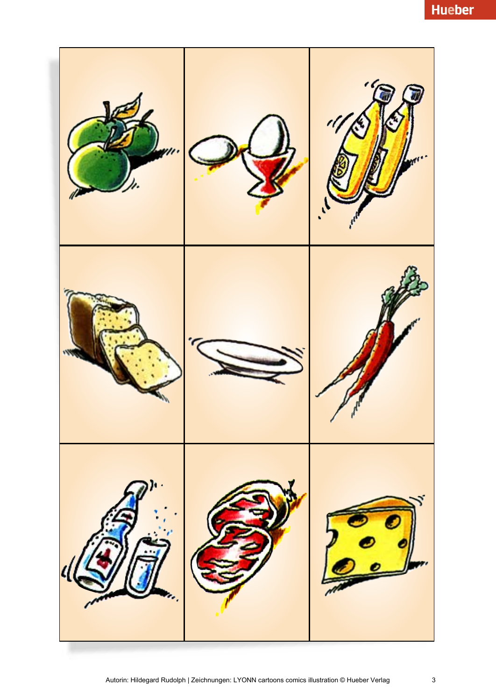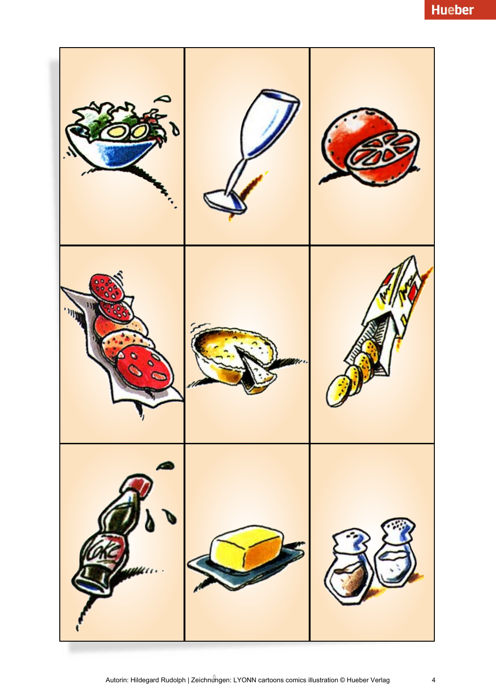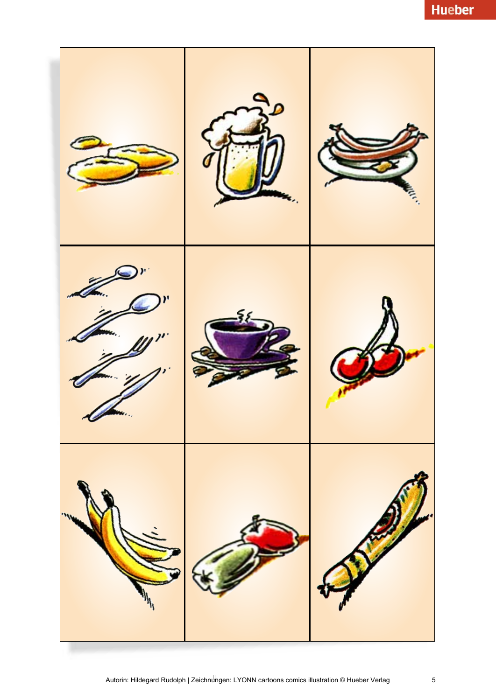